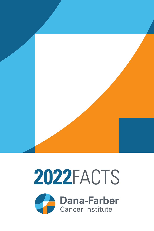

# FACTS

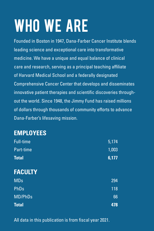# WHO WE ARE

Founded in Boston in 1947, Dana-Farber Cancer Institute blends leading science and exceptional care into transformative medicine. We have a unique and equal balance of clinical care and research, serving as a principal teaching affiliate of Harvard Medical School and a federally designated Comprehensive Cancer Center that develops and disseminates innovative patient therapies and scientific discoveries throughout the world. Since 1948, the Jimmy Fund has raised millions of dollars through thousands of community efforts to advance Dana-Farber's lifesaving mission.

### **EMPLOYEES**

| Full-time      | 5,174 |
|----------------|-------|
| Part-time      | 1,003 |
| <b>Total</b>   | 6,177 |
| <b>FACULTY</b> |       |
| <b>MDs</b>     | 294   |
| PhDs           | 118   |
| <b>MD/PhDs</b> | 66    |
| <b>Total</b>   | 478   |

All data in this publication is from fiscal year 2021.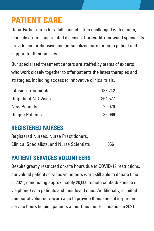# **PATIENT CARE**

Dana-Farber cares for adults and children challenged with cancer, blood disorders, and related diseases. Our world-renowned specialists provide comprehensive and personalized care for each patient and support for their families.

Our specialized treatment centers are staffed by teams of experts who work closely together to offer patients the latest therapies and strategies, including access to innovative clinical trials.

| <b>Infusion Treatments</b>  | 188,242 |
|-----------------------------|---------|
| <b>Outpatient MD Visits</b> | 364,577 |
| <b>New Patients</b>         | 29,070  |
| <b>Unique Patients</b>      | 86,066  |

### **REGISTERED NURSES**

| Registered Nurses, Nurse Practitioners,           |     |
|---------------------------------------------------|-----|
| <b>Clinical Specialists, and Nurse Scientists</b> | 856 |

### **PATIENT SERVICES VOLUNTEERS**

Despite greatly restricted on-site hours due to COVID-19 restrictions, our valued patient services volunteers were still able to donate time in 2021, conducting approximately 20,000 remote contacts (online or via phone) with patients and their loved ones. Additionally, a limited number of volunteers were able to provide thousands of in-person service hours helping patients at our Chestnut Hill location in 2021.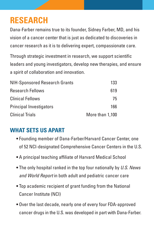# **RESEARCH**

Dana-Farber remains true to its founder, Sidney Farber, MD, and his vision of a cancer center that is just as dedicated to discoveries in cancer research as it is to delivering expert, compassionate care.

Through strategic investment in research, we support scientific leaders and young investigators, develop new therapies, and ensure a spirit of collaboration and innovation.

| NIH-Sponsored Research Grants  | 133             |
|--------------------------------|-----------------|
| <b>Research Fellows</b>        | 619             |
| <b>Clinical Fellows</b>        | 75              |
| <b>Principal Investigators</b> | 166             |
| <b>Clinical Trials</b>         | More than 1,100 |

### **WHAT SETS US APART**

- Founding member of Dana-Farber/Harvard Cancer Center, one of 52 NCI-designated Comprehensive Cancer Centers in the U.S.
- A principal teaching affiliate of Harvard Medical School
- The only hospital ranked in the top four nationally by *U.S. News and World Report* in both adult and pediatric cancer care
- Top academic recipient of grant funding from the National Cancer Institute (NCI)
- Over the last decade, nearly one of every four FDA-approved cancer drugs in the U.S. was developed in part with Dana-Farber.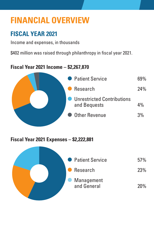# **FINANCIAL OVERVIEW**

### **FISCAL YEAR 2021**

Income and expenses, in thousands

\$402 million was raised through philanthropy in fiscal year 2021.

### **Fiscal Year 2021 Income – \$2,267,870**



**Fiscal Year 2021 Expenses – \$2,222,881**

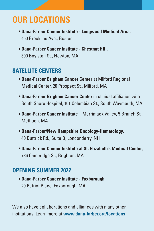# **OUR LOCATIONS**

- **Dana-Farber Cancer Institute Longwood Medical Area**, 450 Brookline Ave., Boston
- **Dana-Farber Cancer Institute Chestnut Hill**, 300 Boylston St., Newton, MA

### **SATELLITE CENTERS**

- **Dana-Farber Brigham Cancer Center** at Milford Regional Medical Center, 20 Prospect St., Milford, MA
- **Dana-Farber Brigham Cancer Center** in clinical affiliation with South Shore Hospital, 101 Columbian St., South Weymouth, MA
- **Dana-Farber Cancer Institute** Merrimack Valley, 5 Branch St., Methuen, MA
- **Dana-Farber/New Hampshire Oncology-Hematology**, 40 Buttrick Rd., Suite B, Londonderry, NH
- **Dana-Farber Cancer Institute at St. Elizabeth's Medical Center**, 736 Cambridge St., Brighton, MA

### **OPENING SUMMER 2022**

• **Dana-Farber Cancer Institute - Foxborough**, 20 Patriot Place, Foxborough, MA

We also have collaborations and alliances with many other institutions. Learn more at **www.dana-farber.org/locations**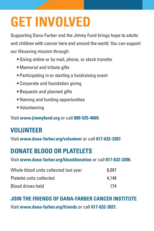# **GET INVOLVED**

Supporting Dana-Farber and the Jimmy Fund brings hope to adults and children with cancer here and around the world. You can support our lifesaving mission through:

- Giving online or by mail, phone, or stock transfer
- Memorial and tribute gifts
- Participating in or starting a fundraising event
- Corporate and foundation giving
- Bequests and planned gifts
- Naming and funding opportunities
- Volunteering

Visit **www.jimmyfund.org** or call **800-525-4669**.

### **VOLUNTEER**

Visit **www.dana-farber.org/volunteer** or call **617-632-3307**.

### **DONATE BLOOD OR PLATELETS**

Visit **www.dana-farber.org/blooddonation** or call **617-632-3206**.

| Whole blood units collected last year | 8.097 |
|---------------------------------------|-------|
| Platelet units collected              | 4.148 |
| <b>Blood drives held</b>              | 174   |

### **JOIN THE FRIENDS OF DANA-FARBER CANCER INSTITUTE**

Visit **www.dana-farber.org/friends** or call **617-632-3021**.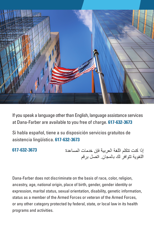

If you speak a language other than English, language assistance services at Dana-Farber are available to you free of charge. **617-632-3673**

Si habla español, tiene a su disposición servicios gratuitos de asistencia lingüística. **617-632-3673**

#### **617-632-3673**

إذا كنت تتكلم اللغة العر بية فإن خدمات المساعدة اللغوية تتوافر لك بالمجان اتصل برقم

Dana-Farber does not discriminate on the basis of race, color, religion, ancestry, age, national origin, place of birth, gender, gender identity or expression, marital status, sexual orientation, disability, genetic information, status as a member of the Armed Forces or veteran of the Armed Forces, or any other category protected by federal, state, or local law in its health programs and activities.